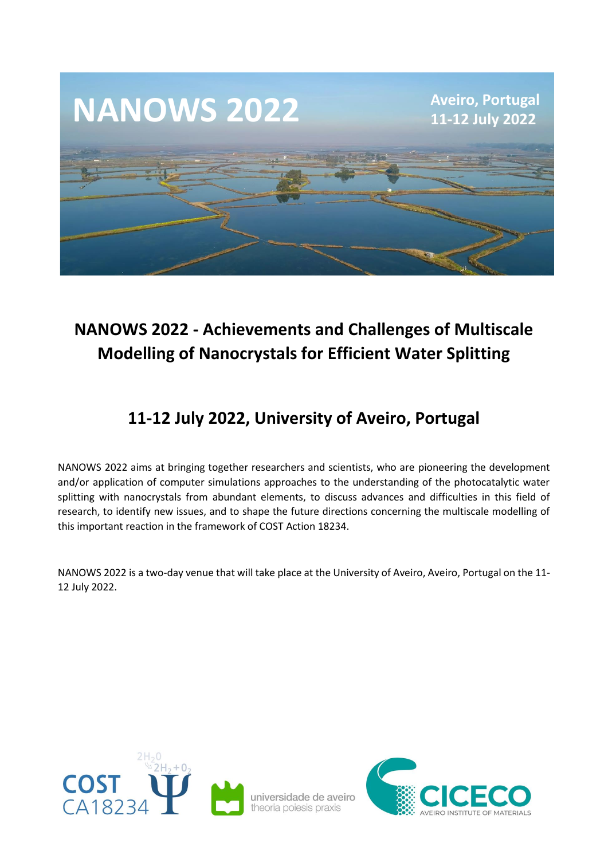

# **NANOWS 2022 - Achievements and Challenges of Multiscale Modelling of Nanocrystals for Efficient Water Splitting**

## **11-12 July 2022, University of Aveiro, Portugal**

NANOWS 2022 aims at bringing together researchers and scientists, who are pioneering the development and/or application of computer simulations approaches to the understanding of the photocatalytic water splitting with nanocrystals from abundant elements, to discuss advances and difficulties in this field of research, to identify new issues, and to shape the future directions concerning the multiscale modelling of this important reaction in the framework of COST Action 18234.

NANOWS 2022 is a two-day venue that will take place at the University of Aveiro, Aveiro, Portugal on the 11- 12 July 2022.



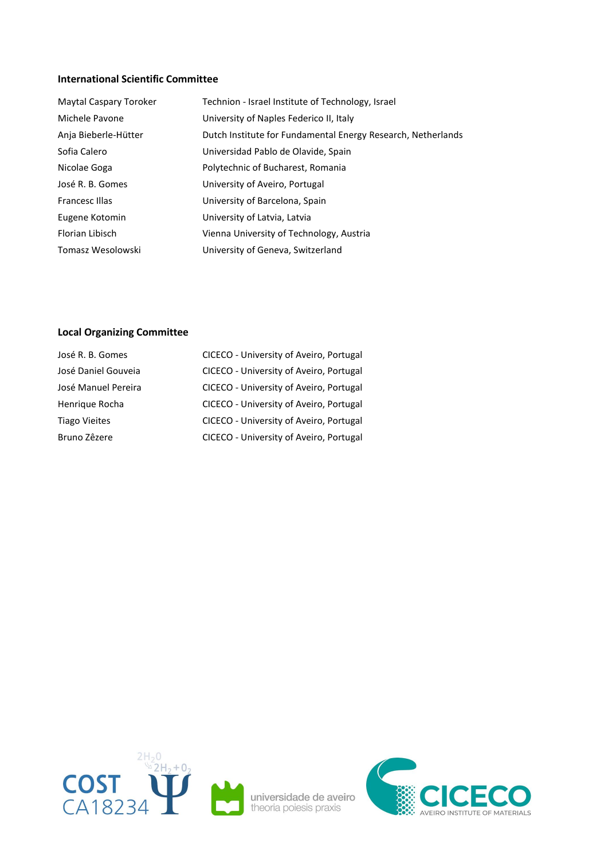#### **International Scientific Committee**

| Maytal Caspary Toroker | Technion - Israel Institute of Technology, Israel            |
|------------------------|--------------------------------------------------------------|
| Michele Pavone         | University of Naples Federico II, Italy                      |
| Anja Bieberle-Hütter   | Dutch Institute for Fundamental Energy Research, Netherlands |
| Sofia Calero           | Universidad Pablo de Olavide, Spain                          |
| Nicolae Goga           | Polytechnic of Bucharest, Romania                            |
| José R. B. Gomes       | University of Aveiro, Portugal                               |
| Francesc Illas         | University of Barcelona, Spain                               |
| Eugene Kotomin         | University of Latvia, Latvia                                 |
| Florian Libisch        | Vienna University of Technology, Austria                     |
| Tomasz Wesolowski      | University of Geneva, Switzerland                            |

## **Local Organizing Committee**

| José R. B. Gomes     | CICECO - University of Aveiro, Portugal |
|----------------------|-----------------------------------------|
| José Daniel Gouveia  | CICECO - University of Aveiro, Portugal |
| José Manuel Pereira  | CICECO - University of Aveiro, Portugal |
| Henrique Rocha       | CICECO - University of Aveiro, Portugal |
| <b>Tiago Vieites</b> | CICECO - University of Aveiro, Portugal |
| Bruno Zêzere         | CICECO - University of Aveiro, Portugal |